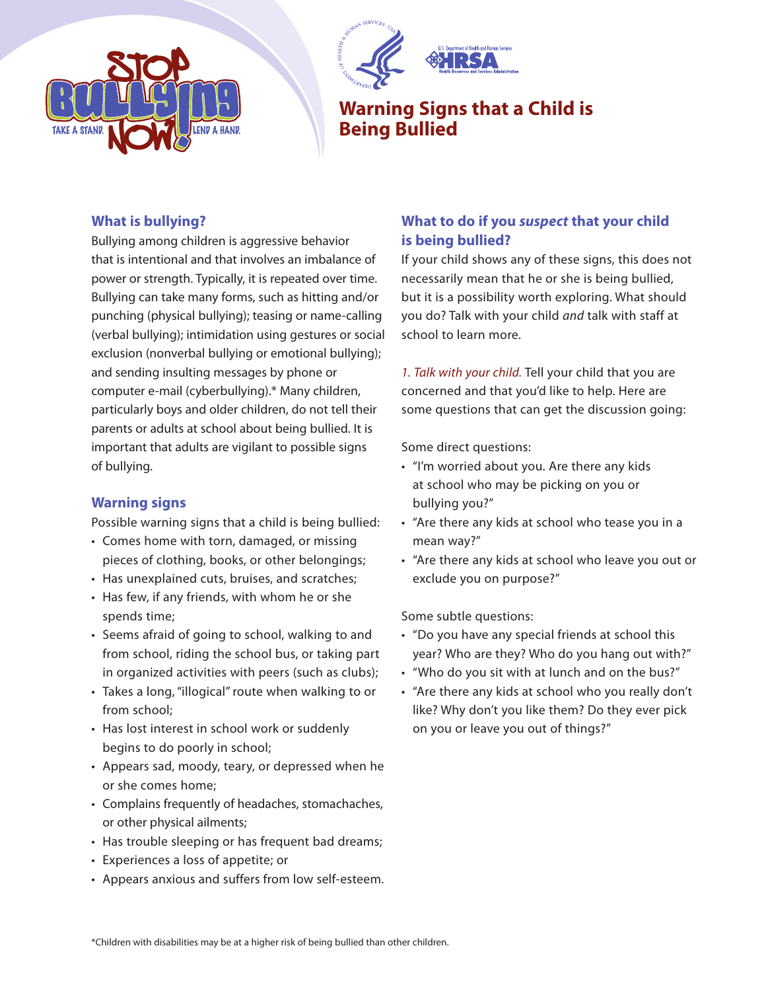



# **Warning Signs that a Child is Being Bullied**

#### **What is bullying?**

Bullying among children is aggressive behavior that is intentional and that involves an imbalance of power or strength. Typically, it is repeated over time. Bullying can take many forms, such as hitting and/or punching (physical bullying); teasing or name-calling (verbal bullying); intimidation using gestures or social exclusion (nonverbal bullying or emotional bullying); and sending insulting messages by phone or computer e-mail (cyberbullying).\* Many children, particularly boys and older children, do not tell their parents or adults at school about being bullied. It is important that adults are vigilant to possible signs of bullying.

### **Warning signs**

Possible warning signs that a child is being bullied:

- Comes home with torn, damaged, or missing pieces of clothing, books, or other belongings;
- Has unexplained cuts, bruises, and scratches;
- Has few, if any friends, with whom he or she spends time;
- Seems afraid of going to school, walking to and from school, riding the school bus, or taking part in organized activities with peers (such as clubs);
- Takes a long, "illogical" route when walking to or from school;
- Has lost interest in school work or suddenly begins to do poorly in school;
- Appears sad, moody, teary, or depressed when he or she comes home;
- Complains frequently of headaches, stomachaches, or other physical ailments;
- Has trouble sleeping or has frequent bad dreams;
- Experiences a loss of appetite; or
- Appears anxious and suffers from low self-esteem.

## **What to do if you suspect that your child is being bullied?**

If your child shows any of these signs, this does not necessarily mean that he or she is being bullied, but it is a possibility worth exploring. What should you do? Talk with your child and talk with staff at school to learn more.

1. Talk with your child. Tell your child that you are concerned and that you'd like to help. Here are some questions that can get the discussion going:

Some direct questions:

- "I'm worried about you. Are there any kids at school who may be picking on you or bullying you?"
- "Are there any kids at school who tease you in a mean way?"
- "Are there any kids at school who leave you out or exclude you on purpose?"

Some subtle questions:

- "Do you have any special friends at school this year? Who are they? Who do you hang out with?"
- "Who do you sit with at lunch and on the bus?"
- "Are there any kids at school who you really don't like? Why don't you like them? Do they ever pick on you or leave you out of things?"